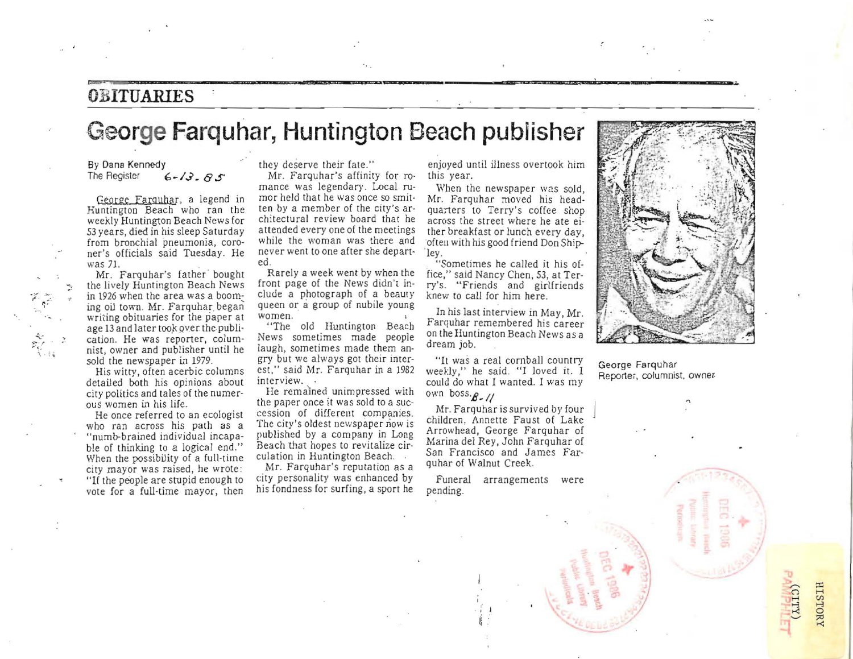#### **OBITUARIES**

**,......., ,** 

### **George Farquhar, Huntington Beach publisher**

#### By Dana Kennedy<br>The Register  $6 - 13 - 85$

**George Farquhar, a legend in**  Huntington Beach who ran the weekly Huntington Beach News for 53 years, died in his sleep Saturday from bronchial pneumonia, coroner's officials said Tuesday. He was 71.

Mr. Farquhar's father bought the lively Huntington Beach News in 1926 when the area was a booming oil town. Mr. Farquhar began **writing obituaries for the parer at**  age 13 and later took over the publi**ca tion. He was reporter, colum**nist, owner and publisher until he sold the newspaper in 1979.

*oj' .* **. ,.. .**  $\cdot$  .

**".** 

His witty, often acerbic columns detailed both his opinions about city politics and tales of the numerous women in his life.

**He once referred {Q an ecologist**  who ran across his path as a "numb-brained individual incapable of thinking to a logical end." When the possibility of a full-time city mayor was raised, he wrote : "If the people are stupid enough to vote for a full-time mayor, then they deserve their fate."

Mr. Farquhar's affinity for ro-<br>mance was legendary. Local rumor held that he was once so smitten by a member of the city's architectural re view board that he attended every one of the meetings while the woman was there and never went to one after she departed .

Rarely a week went by when the front page of the News didn't include a photograph of a beauty queen or a group of nubile young **women.** 

"The old Huntington Beach News sometimes made people **iaugh, sometimes made them an·**  gry but we always got their interest," said Mr. Farquhar in a 1982 **interview.** 

**He rcmalned unimpressed with**  the paper once it was sold to a succession of different companies. **The city's oldest newspaper now is**  published by a company in Long Beach that hopes to revitalize circulation in Huntington Beach.

Mr. Farquhar's reputation as a city personality was enhanced by his fondness for surfing, a sport he

enjoyed until illness overtook him this year.

When the newspaper was sold, Mr. Farquhar moved his headquarters to Terry's coffee shop across the street where he ate either breakfast or lunch every day, often with his good friend Don Ship-<br>ley.

"Sometimes he called it his office," said Nancy Chen, 53, at Terry's. "Friends and girlfriends knew to call for him here.

In his la st interview in May, Mr. Farquhar remembered his career on the Huntington Beach News as a dream job.

"It was a real cornball country weekly," he said. "I loved it. I could do what I wanted. I was my own boss'B \_ *1/* 

Mr. Farquhar is survived by four children, Annette Faust of Lake Arrowhead, George Farquhar of Marina del Rey, John Farquhar of San Francisco and James Far· quhar of Walnut Creek.

**Funeral arrangements were**  pending.

> $\ddot{i}$  $\mathcal{U}$



.,

 $H_{10}$ 

 $\degree$  $15TORY$ 

George Farquhar **Reportei, columnist. owner·** 

ີ**ຕ**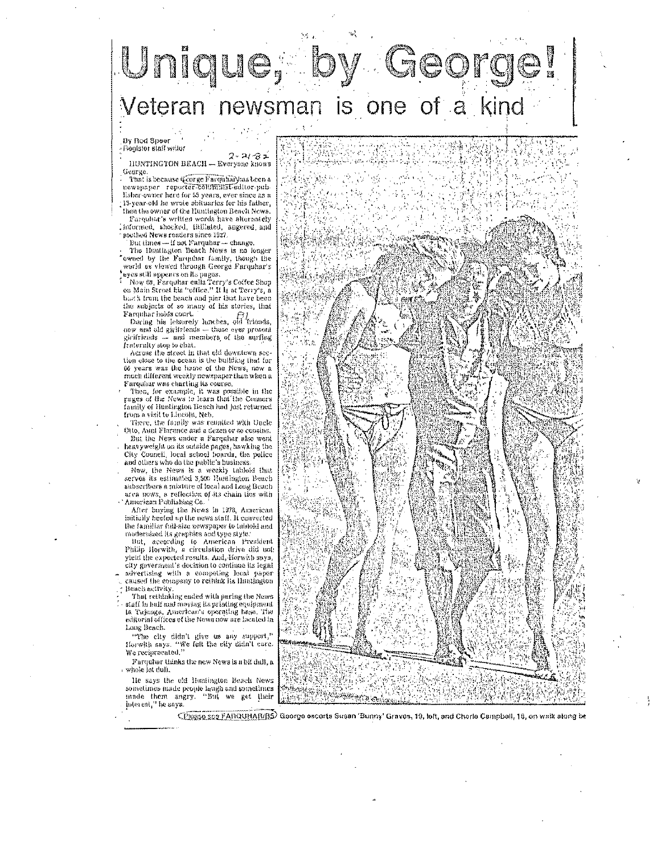### Unique, b <sup>,</sup> Georg Veteran newsman is one of a kind

By Rod Speer - Register staff writer

 $2 - 2i - 8 -$ IIUNTINGTON BEACH - Everyone knows George

That is because (corge Farquhar) has been a The part of the content of the content of the content of the list of the list of the list of the list of the list of the content of the state of the state of the state of the state of the state of the state of the state of then the owner of the Huntington Beach News. Farquitat's written words have alternately

, informed, shocked, fitiliated, angered, and southed News readers since 1927.<br>But times - if not Farquhar - change.

The Hantington Beach News is no longer 'ewned by the Furquinar family, though the world as viewed through George Farquhar's

where all highears on its pages.<br>  $\frac{1}{2}$  Now 60, Parquilar culls Terry's Coffee Shop<br>
on Main Street his "office." It is at Terry's, a<br>
black from the beach and pier that have been the subjects of so many of his stories, that Farquhar balds court.

During his leisurely lunches, old Triends, new and old girlfriends -- those ever present ghrifriends - and members of the surflug<br>fraternity step to chat.

Across the street in that old downtown section close to the ocean is the building that for<br>66 years was the home of the News, now a much different weekly newspaper than when a Farquiar was charting its course.

Then, for example, it was possible in the<br>puges of the News to learn that the Conners family of Hustington Beach had just returned from a visit to Lincolu, Neb.

There, the family was reunited with Uncle Otto, Augl Florence and a dezen or so consins. But the News under a Farmuhar also wont heavyweight on its outside pages, hawking the City Council, local school bounds, the police and others who do the public's business.<br>Now, the News Is a weekly tabloid that

serves its estimated 3,500 Huntington Beach subscribers a mixture of local and Long Beach area news, a reflection of its chain ties with 'American Publishing Co.<sup>1</sup><br>After buying the News in 1978, American

initially beefed up the news staff. It canverted the familiar full-size newspaper to tabloid and modernized its graphies and type style.

But, according to American President<br>Philip Horwith, a circulation drive did uot yield the expected results, And, Horwith says, city goverment's docision to continue its legal advertising with a competing local paper caused the company to rething its Huntington Beach activity.

That rethinking ended with paring the News staff in bull and moving its printing equipment<br>ta Tujunga, American's operating base, The editorial offices of the News now are lacated in Long Beach.

"The city didn't give us any support," Horwith says. "We felt the city didn't care. We reciprocated."

Farqubar thinks the new News is a bit dall, a whole lot dul).

lle says the old Hentington Beach News sometimes made people laugh and sometimes made them angry. "Bul we get their interest," he says

CPlugso sog FARQUHA[VRS] Goorge escorts Susen 'Bunny' Graves, 19, left, and Cherle Cempbell, 18, on walk along be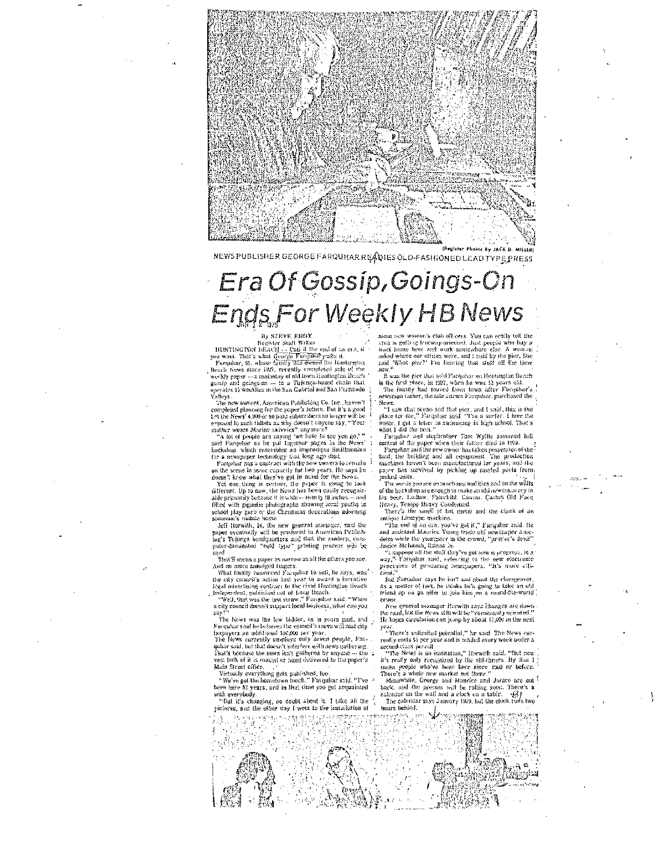

NEWS PUBLISHER GEORGE FARQUHAR READIES OLD-FASHIONED LEAD TYPE PRESS

# Era Of Gossip, Goings-On Ends For Weekly HB News

#### steve edd<mark>y</mark> Register Staff Writer

Register Staft Writer<br>
you want. That's what  $Q_{\text{corr}}$ Cail if the end of an era, if<br>
you want. That's what  $Q_{\text{corr}}$ Cail if the end of an era, if<br>
furqular, 65, whose fattily fits owned the timit<br>
prince heaves since iter

Yalleys.<br>— The new owners, American Pablishing Co. Inc., havon't completed planning for the paper's lights. But it's a good<br>completed planning for the paper's lights. But it's a good<br>Let the News' 4,000 or so paid adoseribers no longer will be

Even there are no spiritually applied to the proposed to such thinks as why doesn't anyone stay, "Your rather wears Marino skivvies" anymore?<br>"A for effect to saving the batch is experience?" and the proposed is a subsequ

for a newspaper technology that long ago died.<br>
Facquiant has a contract with the new owners to remain<br>
on the scene in some capacity for two years. He says in

on tax second in some captury run very get in mind for the News.<br>
Yet one, thing is certain, the paper is going to hook<br>
Very one, thing is certain, the paper is going to hook<br>
different, Up to now, the News has been cauti school play garb or the Christmas decorations adurating<br>someone's mobile home.

dell Horwith, 24, the new general manager, said the paper eventually will be produced in American Publishing's Tolonga beadquarters and dust the mattern, computer-dominated "eold type" printing pracess will be ised.

That'll mean a paper as narrow as all the others you ace.<br>And no more sandded fingers.

What finally convinced Farqular to sett, he says, was<br>the city connell's action last year to award a lacrative<br>legal advertising contract to the rival Huntington Beach

The presence is considered in the transportance of the property of the construction of Lang Benediction and the construction of the construction of the construction of the construction of the construction of the constructi say

The News was the law bickler, as in years gast, and Farquhar said he believes the conneil's move will cost city Inxpayers an additional \$10,000 per year.<br>The News currently employs only seven people, Far-

qubar said, but that doesn't interfure with news gathering. That's because the news isn't gathered by anyone --- the vest bulk of it is matted or hand delivered to the paper's Main Street office

wir van de verything gets published, 160.<br>"We've got the hometown touch," Finquhur said. "I've

been here 52 years, and in that time you get acquainted with everybody.

"But it's changing, no doubt about it. I take all the pictures, and the other day I went to the installation of r gle

some new women's club officers. You can really tell the<br>trea is gutting freeway-oriented, Just people who buy a<br>tract home fiere and work somewhere else. A woman since in<br>one mere and work somewhere else. A woman asked where nor offices were, and i said by the pier, She said. "What pier?" I'm hearing that stud all the time new."

...<br>It was the pier that sold Parquhar on Huntington Boach

in the first place, in 1927, when he was 13 years old.<br>The funnity had moved from lowa after Furquhar's acwsman rather, the late James Farquhar, parchased the News

rews<br>from that because and that pier, and I said, this is the<br>place for the," Farquiar said, "Tia, a surfer. I live the<br>water. I jot a teler in swimming in high school. That's<br>water I give the best."

Farquiter and slephrather Tom Wyllie assumed fell control of the paper when their father died in 1979.<br>Parqohat said the new owner has taken passession of the

production<br>and the building and all equipment. The production<br>ranchines haven't been manufactured for years, and the<br>ranchines haven't been manufactured for years, and the<br>paper has survived by picking up method parts from junked units.

The words you see on muchings and thas and on the walls of the hackshop are enough to make an old newsman cry in this beer. Lodlow, Fourthild. Cames. Castus Old Face

There's the small of bot metal and the clank of an antique Linerype machine.

"The end of an era, yea've got it," Farquhar said. He<br>and assistant Maurice Young trade old newspaper anesdates while the youngster in the crowd, "printin's devil"<br>Janice McIntosh, listins in.<br>"I suppose all the stuff they've got now is progress, in a

way." Facquitar said, referring to the new electronic<br>precesses of producing howspapers. "It's more elft-.<br>ew electronic **Pierré** 

But Parquitar says he isn't sad about the champover.<br>As a mattee of foet, he thinks he's going to take an old friend on an an offer to four him on a round-the-world cruise

New general manager Horwith says changes are down the road, but the News still will be "various it's oriented. He hopes circulation can jump by about 10,000 in the next yea.

<sup>1</sup> There's onlimited petential," he said The News currently costs 15 per year and is malled every week under a second-class permit.

second constant in its distribution," Herwith said. "But now it's really only recognized by the old-t-inners. By that I mean prople who here here since 1950 or before, The origin prople who we have the since 1950 or befor

Meanwhile, George and Miniries and Janice are as back, and the presses will be reling soon. There's a calendar on the wall and a clock on a table.  $-631$ 

The calendar says January 1979, but the elock runs two hours behind.